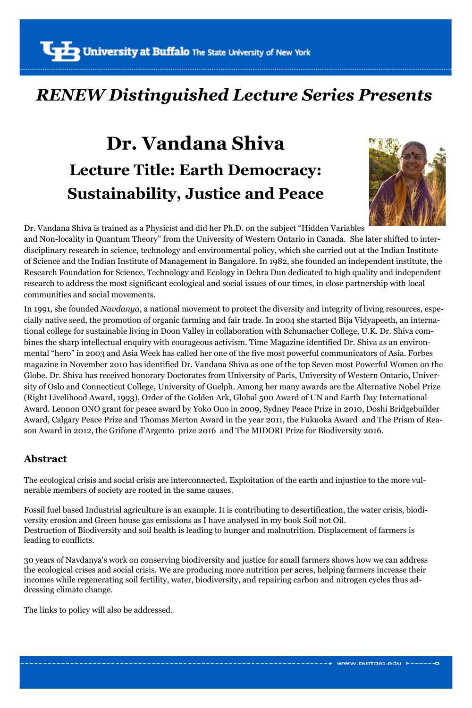### *RENEW Distinguished Lecture Series Presents*

# **Dr. Vandana Shiva Lecture Title: Earth Democracy: Sustainability, Justice and Peace**



Dr. Vandana Shiva is trained as a Physicist and did her Ph.D. on the subject "Hidden Variables and Non-locality in Quantum Theory" from the University of Western Ontario in Canada. She later shifted to interdisciplinary research in science, technology and environmental policy, which she carried out at the Indian Institute of Science and the Indian Institute of Management in Bangalore. In 1982, she founded an independent institute, the Research Foundation for Science, Technology and Ecology in Dehra Dun dedicated to high quality and independent research to address the most significant ecological and social issues of our times, in close partnership with local communities and social movements.

In 1991, she founded *Navdanya*, a national movement to protect the diversity and integrity of living resources, especially native seed, the promotion of organic farming and fair trade. In 2004 she started Bija Vidyapeeth, an international college for sustainable living in Doon Valley in collaboration with Schumacher College, U.K. Dr. Shiva combines the sharp intellectual enquiry with courageous activism. Time Magazine identified Dr. Shiva as an environmental "hero" in 2003 and Asia Week has called her one of the five most powerful communicators of Asia. Forbes magazine in November 2010 has identified Dr. Vandana Shiva as one of the top Seven most Powerful Women on the Globe. Dr. Shiva has received honorary Doctorates from University of Paris, University of Western Ontario, University of Oslo and Connecticut College, University of Guelph. Among her many awards are the Alternative Nobel Prize (Right Livelihood Award, 1993), Order of the Golden Ark, Global 500 Award of UN and Earth Day International Award. Lennon ONO grant for peace award by Yoko Ono in 2009, Sydney Peace Prize in 2010, Doshi Bridgebuilder Award, Calgary Peace Prize and Thomas Merton Award in the year 2011, the Fukuoka Award and The Prism of Reason Award in 2012, the Grifone d'Argento prize 2016 and The MIDORI Prize for Biodiversity 2016.

#### **Abstract**

The ecological crisis and social crisis are interconnected. Exploitation of the earth and injustice to the more vulnerable members of society are rooted in the same causes.

Fossil fuel based Industrial agriculture is an example. It is contributing to desertification, the water crisis, biodiversity erosion and Green house gas emissions as I have analysed in my book Soil not Oil. Destruction of Biodiversity and soil health is leading to hunger and malnutrition. Displacement of farmers is leading to conflicts.

30 years of Navdanya's work on conserving biodiversity and justice for small farmers shows how we can address the ecological crises and social crisis. We are producing more nutrition per acres, helping farmers increase their incomes while regenerating soil fertility, water, biodiversity, and repairing carbon and nitrogen cycles thus addressing climate change.

The links to policy will also be addressed.